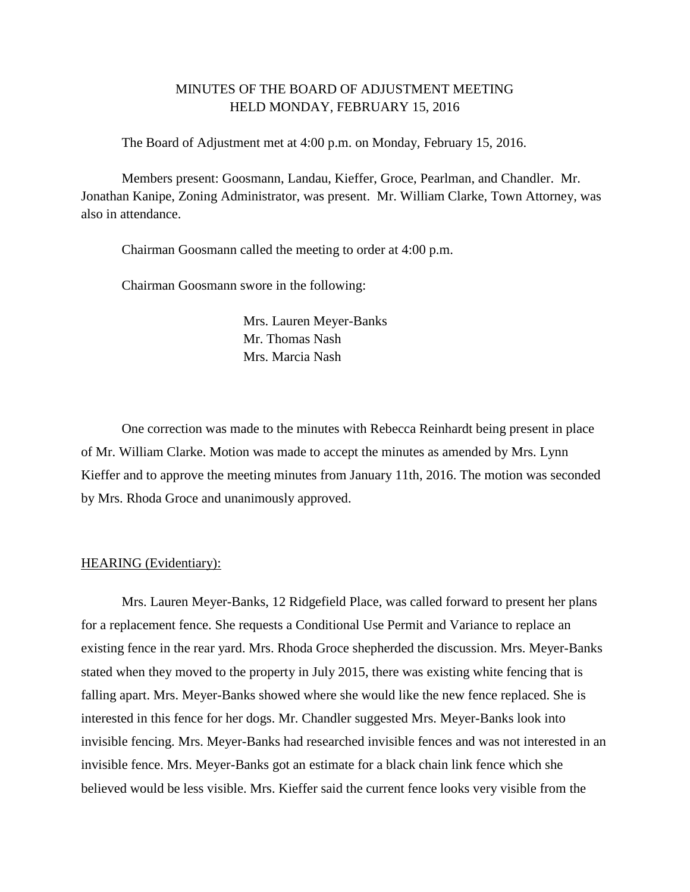# MINUTES OF THE BOARD OF ADJUSTMENT MEETING HELD MONDAY, FEBRUARY 15, 2016

The Board of Adjustment met at 4:00 p.m. on Monday, February 15, 2016.

Members present: Goosmann, Landau, Kieffer, Groce, Pearlman, and Chandler. Mr. Jonathan Kanipe, Zoning Administrator, was present. Mr. William Clarke, Town Attorney, was also in attendance.

Chairman Goosmann called the meeting to order at 4:00 p.m.

Chairman Goosmann swore in the following:

Mrs. Lauren Meyer-Banks Mr. Thomas Nash Mrs. Marcia Nash

One correction was made to the minutes with Rebecca Reinhardt being present in place of Mr. William Clarke. Motion was made to accept the minutes as amended by Mrs. Lynn Kieffer and to approve the meeting minutes from January 11th, 2016. The motion was seconded by Mrs. Rhoda Groce and unanimously approved.

### HEARING (Evidentiary):

Mrs. Lauren Meyer-Banks, 12 Ridgefield Place, was called forward to present her plans for a replacement fence. She requests a Conditional Use Permit and Variance to replace an existing fence in the rear yard. Mrs. Rhoda Groce shepherded the discussion. Mrs. Meyer-Banks stated when they moved to the property in July 2015, there was existing white fencing that is falling apart. Mrs. Meyer-Banks showed where she would like the new fence replaced. She is interested in this fence for her dogs. Mr. Chandler suggested Mrs. Meyer-Banks look into invisible fencing. Mrs. Meyer-Banks had researched invisible fences and was not interested in an invisible fence. Mrs. Meyer-Banks got an estimate for a black chain link fence which she believed would be less visible. Mrs. Kieffer said the current fence looks very visible from the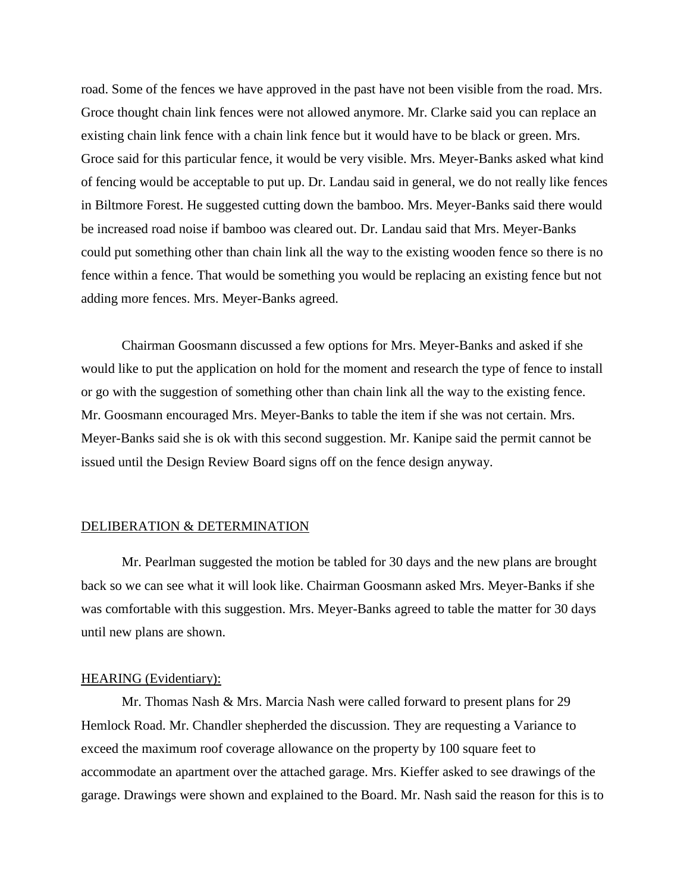road. Some of the fences we have approved in the past have not been visible from the road. Mrs. Groce thought chain link fences were not allowed anymore. Mr. Clarke said you can replace an existing chain link fence with a chain link fence but it would have to be black or green. Mrs. Groce said for this particular fence, it would be very visible. Mrs. Meyer-Banks asked what kind of fencing would be acceptable to put up. Dr. Landau said in general, we do not really like fences in Biltmore Forest. He suggested cutting down the bamboo. Mrs. Meyer-Banks said there would be increased road noise if bamboo was cleared out. Dr. Landau said that Mrs. Meyer-Banks could put something other than chain link all the way to the existing wooden fence so there is no fence within a fence. That would be something you would be replacing an existing fence but not adding more fences. Mrs. Meyer-Banks agreed.

Chairman Goosmann discussed a few options for Mrs. Meyer-Banks and asked if she would like to put the application on hold for the moment and research the type of fence to install or go with the suggestion of something other than chain link all the way to the existing fence. Mr. Goosmann encouraged Mrs. Meyer-Banks to table the item if she was not certain. Mrs. Meyer-Banks said she is ok with this second suggestion. Mr. Kanipe said the permit cannot be issued until the Design Review Board signs off on the fence design anyway.

## DELIBERATION & DETERMINATION

Mr. Pearlman suggested the motion be tabled for 30 days and the new plans are brought back so we can see what it will look like. Chairman Goosmann asked Mrs. Meyer-Banks if she was comfortable with this suggestion. Mrs. Meyer-Banks agreed to table the matter for 30 days until new plans are shown.

#### HEARING (Evidentiary):

Mr. Thomas Nash & Mrs. Marcia Nash were called forward to present plans for 29 Hemlock Road. Mr. Chandler shepherded the discussion. They are requesting a Variance to exceed the maximum roof coverage allowance on the property by 100 square feet to accommodate an apartment over the attached garage. Mrs. Kieffer asked to see drawings of the garage. Drawings were shown and explained to the Board. Mr. Nash said the reason for this is to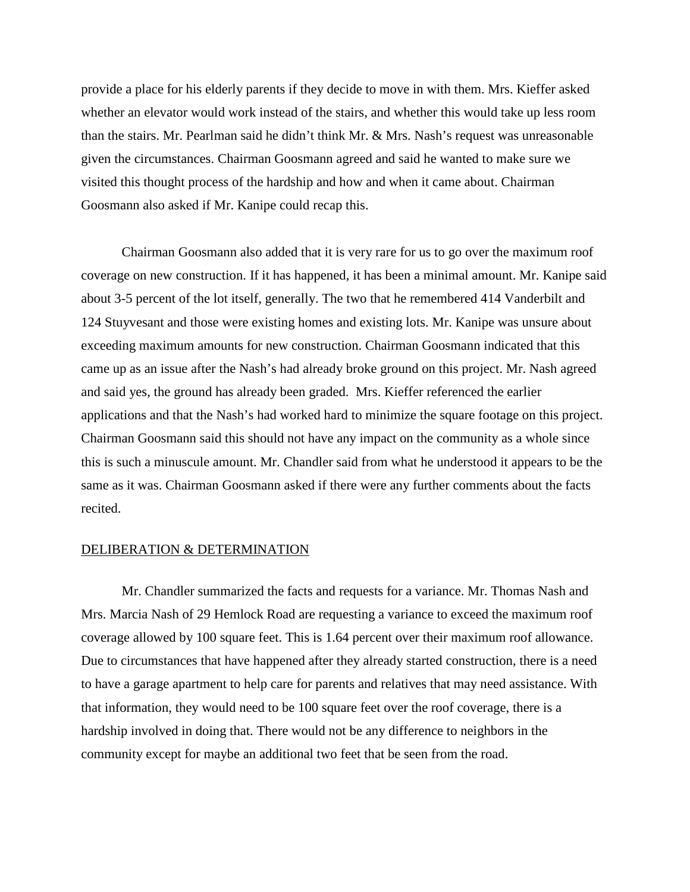provide a place for his elderly parents if they decide to move in with them. Mrs. Kieffer asked whether an elevator would work instead of the stairs, and whether this would take up less room than the stairs. Mr. Pearlman said he didn't think Mr. & Mrs. Nash's request was unreasonable given the circumstances. Chairman Goosmann agreed and said he wanted to make sure we visited this thought process of the hardship and how and when it came about. Chairman Goosmann also asked if Mr. Kanipe could recap this.

Chairman Goosmann also added that it is very rare for us to go over the maximum roof coverage on new construction. If it has happened, it has been a minimal amount. Mr. Kanipe said about 3-5 percent of the lot itself, generally. The two that he remembered 414 Vanderbilt and 124 Stuyvesant and those were existing homes and existing lots. Mr. Kanipe was unsure about exceeding maximum amounts for new construction. Chairman Goosmann indicated that this came up as an issue after the Nash's had already broke ground on this project. Mr. Nash agreed and said yes, the ground has already been graded. Mrs. Kieffer referenced the earlier applications and that the Nash's had worked hard to minimize the square footage on this project. Chairman Goosmann said this should not have any impact on the community as a whole since this is such a minuscule amount. Mr. Chandler said from what he understood it appears to be the same as it was. Chairman Goosmann asked if there were any further comments about the facts recited.

#### DELIBERATION & DETERMINATION

Mr. Chandler summarized the facts and requests for a variance. Mr. Thomas Nash and Mrs. Marcia Nash of 29 Hemlock Road are requesting a variance to exceed the maximum roof coverage allowed by 100 square feet. This is 1.64 percent over their maximum roof allowance. Due to circumstances that have happened after they already started construction, there is a need to have a garage apartment to help care for parents and relatives that may need assistance. With that information, they would need to be 100 square feet over the roof coverage, there is a hardship involved in doing that. There would not be any difference to neighbors in the community except for maybe an additional two feet that be seen from the road.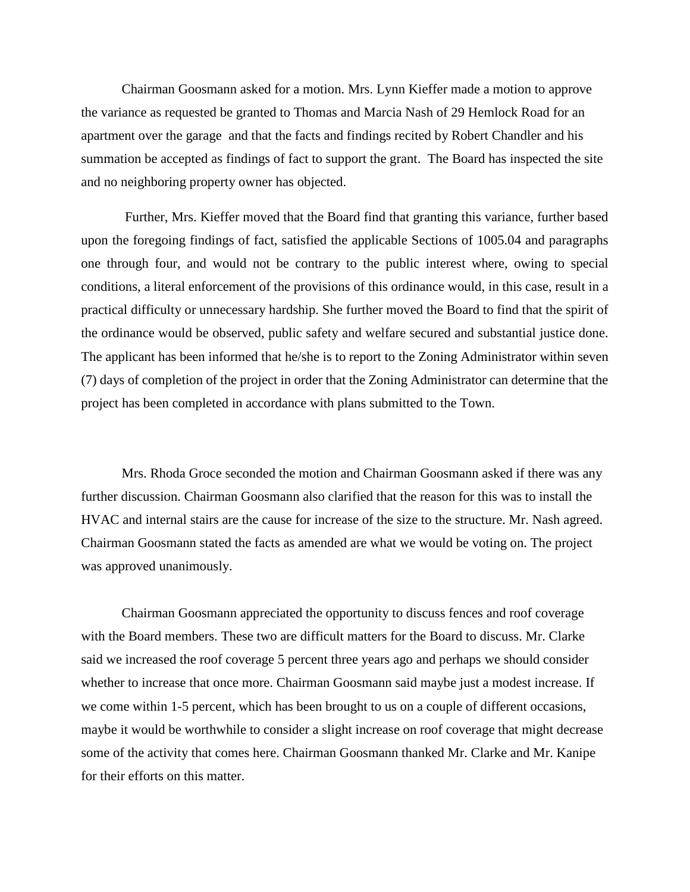Chairman Goosmann asked for a motion. Mrs. Lynn Kieffer made a motion to approve the variance as requested be granted to Thomas and Marcia Nash of 29 Hemlock Road for an apartment over the garage and that the facts and findings recited by Robert Chandler and his summation be accepted as findings of fact to support the grant. The Board has inspected the site and no neighboring property owner has objected.

Further, Mrs. Kieffer moved that the Board find that granting this variance, further based upon the foregoing findings of fact, satisfied the applicable Sections of 1005.04 and paragraphs one through four, and would not be contrary to the public interest where, owing to special conditions, a literal enforcement of the provisions of this ordinance would, in this case, result in a practical difficulty or unnecessary hardship. She further moved the Board to find that the spirit of the ordinance would be observed, public safety and welfare secured and substantial justice done. The applicant has been informed that he/she is to report to the Zoning Administrator within seven (7) days of completion of the project in order that the Zoning Administrator can determine that the project has been completed in accordance with plans submitted to the Town.

Mrs. Rhoda Groce seconded the motion and Chairman Goosmann asked if there was any further discussion. Chairman Goosmann also clarified that the reason for this was to install the HVAC and internal stairs are the cause for increase of the size to the structure. Mr. Nash agreed. Chairman Goosmann stated the facts as amended are what we would be voting on. The project was approved unanimously.

Chairman Goosmann appreciated the opportunity to discuss fences and roof coverage with the Board members. These two are difficult matters for the Board to discuss. Mr. Clarke said we increased the roof coverage 5 percent three years ago and perhaps we should consider whether to increase that once more. Chairman Goosmann said maybe just a modest increase. If we come within 1-5 percent, which has been brought to us on a couple of different occasions, maybe it would be worthwhile to consider a slight increase on roof coverage that might decrease some of the activity that comes here. Chairman Goosmann thanked Mr. Clarke and Mr. Kanipe for their efforts on this matter.